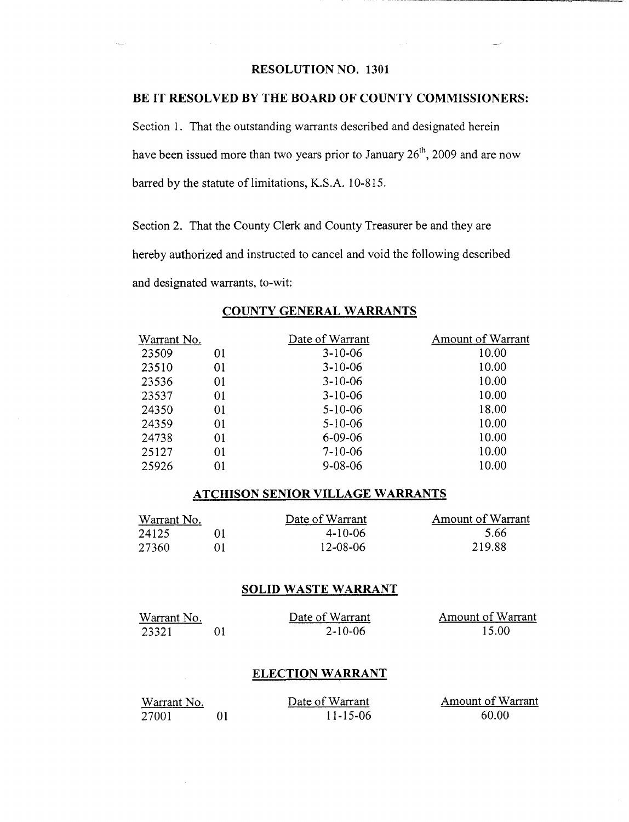# RESOLUTION NO. 1301

## BE IT RESOLVED BY THE BOARD OF COUNTY COMMISSIONERS:

Section 1. That the outstanding warrants described and designated herein have been issued more than two years prior to January  $26<sup>th</sup>$ , 2009 and are now barred by the statute of limitations, K.S.A. 10-815.

Section 2. That the County Clerk and County Treasurer be and they are hereby authorized and instructed to cancel and void the following described and designated warrants, to-wit:

| Warrant No. |    | Date of Warrant | Amount of Warrant |
|-------------|----|-----------------|-------------------|
| 23509       | 01 | $3 - 10 - 06$   | 10.00             |
| 23510       | 01 | $3-10-06$       | 10.00             |
| 23536       | 01 | $3-10-06$       | 10.00             |
| 23537       | 01 | $3-10-06$       | 10.00             |
| 24350       | 01 | $5 - 10 - 06$   | 18.00             |
| 24359       | 01 | $5 - 10 - 06$   | 10.00             |
| 24738       | 01 | $6 - 09 - 06$   | 10.00             |
| 25127       | 01 | $7 - 10 - 06$   | 10.00             |
| 25926       | 01 | $9 - 08 - 06$   | 10.00             |

## COUNTY GENERAL WARRANTS

#### ATCHISON SENIOR VILLAGE WARRANTS

| Warrant No. |    | Date of Warrant | Amount of Warrant |
|-------------|----|-----------------|-------------------|
| 24125       |    | $4-10-06$       | 5.66              |
| -27360      | ΩŦ | $12 - 08 - 06$  | 219.88            |

#### SOLID WASTE WARRANT

| Warrant No. | Date of Warrant | Amount of Warrant |
|-------------|-----------------|-------------------|
| 23321       | $2 - 10 - 06$   | 15.00             |

## ELECTION WARRANT

| Warrant No. | Date of Warrant | Amount of Warrant |
|-------------|-----------------|-------------------|
| 27001       | 11-15-06        | 60.00             |